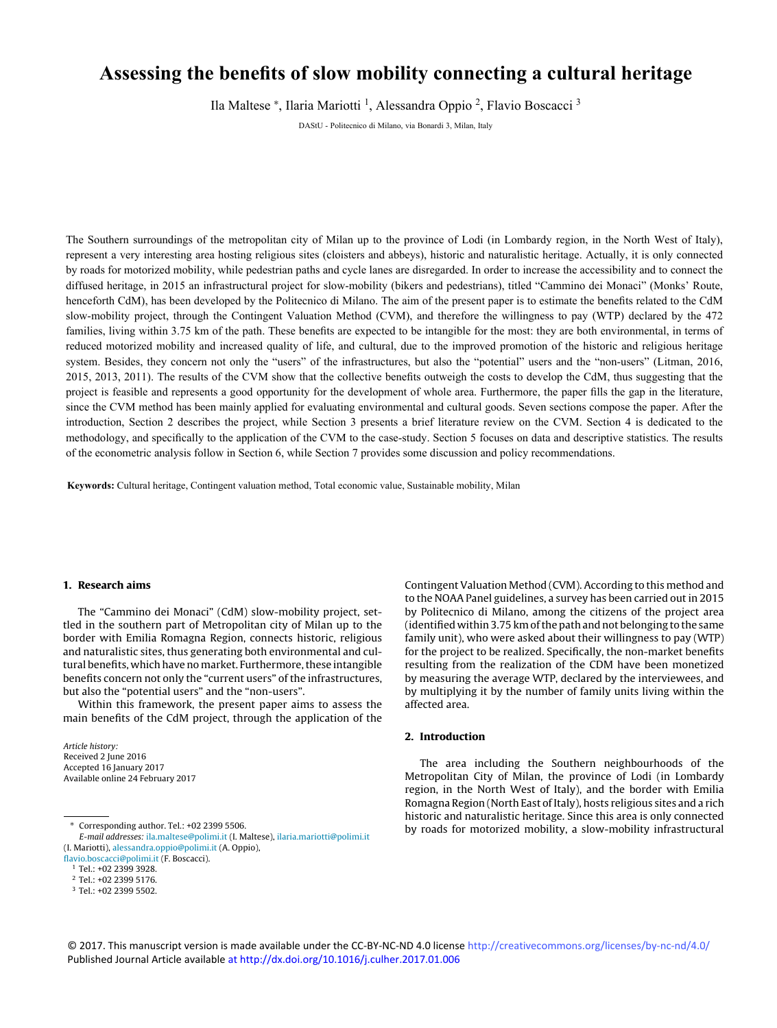# <span id="page-0-0"></span>**Assessing the benefits of slow mobility connecting a cultural heritage**

Ila Maltese \*, Ilaria Mariotti <sup>1</sup>, Alessandra Oppio <sup>2</sup>, Flavio Boscacci <sup>3</sup>

DAStU - Politecnico di Milano, via Bonardi 3, Milan, Italy

The Southern surroundings of the metropolitan city of Milan up to the province of Lodi (in Lombardy region, in the North [West of Italy\),](http://crossmark.crossref.org/dialog/?doi=10.1016/j.culher.2017.01.006&domain=pdf)  represent a very interesting area hosting religious sites (cloisters and abbeys), historic and naturalistic heritage. Actually, it is only connected by roads for motorized mobility, while pedestrian paths and cycle lanes are disregarded. In order to increase the accessibility and to connect the diffused heritage, in 2015 an infrastructural project for slow-mobility (bikers and pedestrians), titled "Cammino dei Monaci" (Monks' Route, henceforth CdM), has been developed by the Politecnico di Milano. The aim of the present paper is to estimate the benefits related to the CdM slow-mobility project, through the Contingent Valuation Method (CVM), and therefore the willingness to pay (WTP) declared by the 472 families, living within 3.75 km of the path. These benefits are expected to be intangible for the most: they are both environmental, in terms of reduced motorized mobility and increased quality of life, and cultural, due to the improved promotion of the historic and religious heritage system. Besides, they concern not only the "users" of the infrastructures, but also the "potential" users and the "non-users" (Litman, 2016, 2015, 2013, 2011). The results of the CVM show that the collective benefits outweigh the costs to develop the CdM, thus suggesting that the project is feasible and represents a good opportunity for the development of whole area. Furthermore, the paper fills the gap in the literature, since the CVM method has been mainly applied for evaluating environmental and cultural goods. Seven sections compose the paper. After the introduction, Section 2 describes the project, while Section 3 presents a brief literature review on the CVM. Section 4 is dedicated to the methodology, and specifically to the application of the CVM to the case-study. Section 5 focuses on data and descriptive statistics. The results of the econometric analysis follow in Section 6, while Section 7 provides some discussion and policy recommendations.

**Keywords:** Cultural heritage, Contingent valuation method, Total economic value, Sustainable mobility, Milan

# **1. Research aims**

The "Cammino dei Monaci" (CdM) slow-mobility project, settled in the southern part of Metropolitan city of Milan up to the border with Emilia Romagna Region, connects historic, religious and naturalistic sites, thus generating both environmental and cultural benefits, which have no market. Furthermore, these intangible benefits concern not only the "current users" of the infrastructures, but also the "potential users" and the "non-users".

Within this framework, the present paper aims to assess the main benefits of the CdM project, through the application of the

Article history: Received 2 June 2016 Accepted 16 January 2017 Available online 24 February 2017 Contingent Valuation Method (CVM). According to this method and to the NOAA Panel guidelines, a survey has been carried out in 2015 by Politecnico di Milano, among the citizens of the project area (identified within 3.75 km of the path and not belonging to the same family unit), who were asked about their willingness to pay (WTP) for the project to be realized. Specifically, the non-market benefits resulting from the realization of the CDM have been monetized by measuring the average WTP, declared by the interviewees, and by multiplying it by the number of family units living within the affected area.

# **2. Introduction**

The area including the Southern neighbourhoods of the Metropolitan City of Milan, the province of Lodi (in Lombardy region, in the North West of Italy), and the border with Emilia Romagna Region (North East of Italy), hosts religious sites and a rich historic and naturalistic heritage. Since this area is only connected by roads for motorized mobility, a slow-mobility infrastructural

© 2017. This manuscript version is made available under the CC-BY-NC-ND 4.0 license http://creativecommons.org/licenses/by-nc-nd/4.0/ Published Journal Article available at<http://dx.doi.org/10.1016/j.culher.2017.01.006>

<sup>∗</sup> Corresponding author. Tel.: +02 2399 5506.

E-mail addresses: [ila.maltese@polimi.it](mailto:ila.maltese@polimi.it) (I. Maltese), [ilaria.mariotti@polimi.it](mailto:ilaria.mariotti@polimi.it) (I. Mariotti), [alessandra.oppio@polimi.it](mailto:alessandra.oppio@polimi.it) (A. Oppio),

[flavio.boscacci@polimi.it](mailto:flavio.boscacci@polimi.it) (F. Boscacci).

<sup>1</sup> Tel.: +02 2399 3928.

<sup>2</sup> Tel.: +02 2399 5176.

<sup>3</sup> Tel.: +02 2399 5502.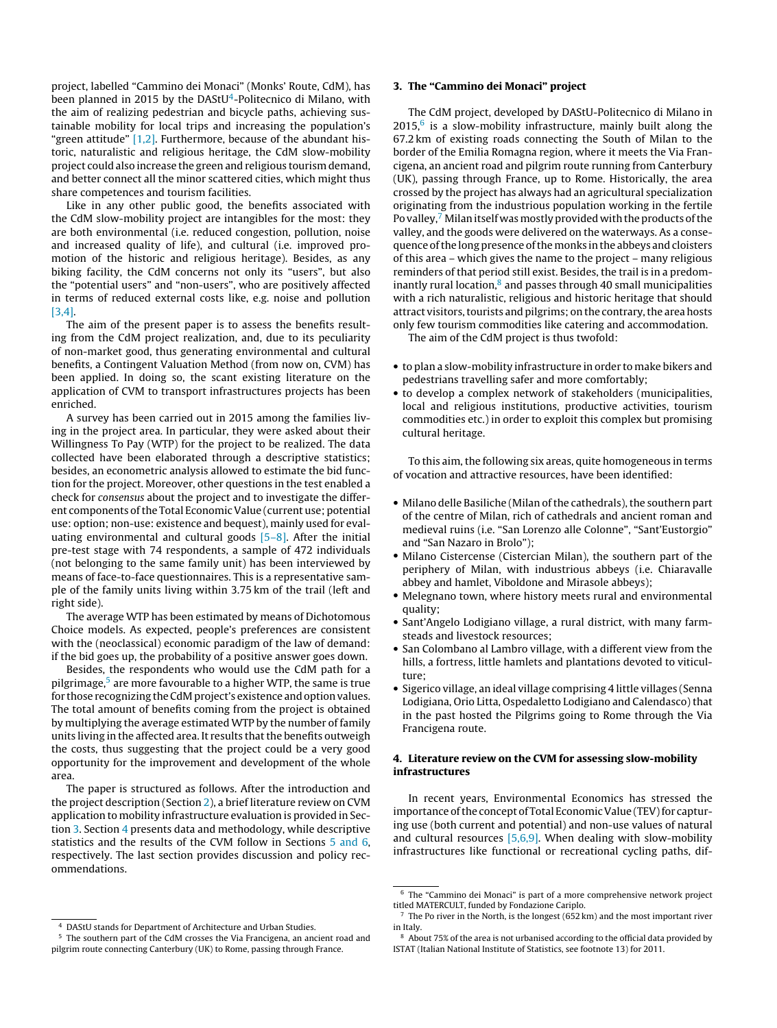<span id="page-1-0"></span>project, labelled "Cammino dei Monaci" (Monks' Route, CdM), has been planned in 2015 by the DAStU<sup>4</sup>-Politecnico di Milano, with the aim of realizing pedestrian and bicycle paths, achieving sustainable mobility for local trips and increasing the population's "green attitude"  $[1,2]$ . Furthermore, because of the abundant historic, naturalistic and religious heritage, the CdM slow-mobility project could also increase the green and religious tourism demand, and better connect all the minor scattered cities, which might thus share competences and tourism facilities.

Like in any other public good, the benefits associated with the CdM slow-mobility project are intangibles for the most: they are both environmental (i.e. reduced congestion, pollution, noise and increased quality of life), and cultural (i.e. improved promotion of the historic and religious heritage). Besides, as any biking facility, the CdM concerns not only its "users", but also the "potential users" and "non-users", who are positively affected in terms of reduced external costs like, e.g. noise and pollution [\[3,4\].](#page-6-0)

The aim of the present paper is to assess the benefits resulting from the CdM project realization, and, due to its peculiarity of non-market good, thus generating environmental and cultural benefits, a Contingent Valuation Method (from now on, CVM) has been applied. In doing so, the scant existing literature on the application of CVM to transport infrastructures projects has been enriched.

A survey has been carried out in 2015 among the families living in the project area. In particular, they were asked about their Willingness To Pay (WTP) for the project to be realized. The data collected have been elaborated through a descriptive statistics; besides, an econometric analysis allowed to estimate the bid function for the project. Moreover, other questions in the test enabled a check for consensus about the project and to investigate the different components of the Total Economic Value (current use; potential use: option; non-use: existence and bequest), mainly used for evaluating environmental and cultural goods  $[5-8]$ . After the initial pre-test stage with 74 respondents, a sample of 472 individuals (not belonging to the same family unit) has been interviewed by means of face-to-face questionnaires. This is a representative sample of the family units living within 3.75 km of the trail (left and right side).

The average WTP has been estimated by means of Dichotomous Choice models. As expected, people's preferences are consistent with the (neoclassical) economic paradigm of the law of demand: if the bid goes up, the probability of a positive answer goes down.

Besides, the respondents who would use the CdM path for a pilgrimage,<sup>5</sup> are more favourable to a higher WTP, the same is true for those recognizing the CdM project's existence and option values. The total amount of benefits coming from the project is obtained by multiplying the average estimated WTP by the number of family units living in the affected area. It results that the benefits outweigh the costs, thus suggesting that the project could be a very good opportunity for the improvement and development of the whole area.

The paper is structured as follows. After the introduction and the project description (Section [2\),](#page-0-0) a brief literature review on CVM application to mobility infrastructure evaluation is provided in Section 3. Section 4 presents data and methodology, while descriptive statistics and the results of the CVM follow in Sections [5 and 6,](#page-2-0) respectively. The last section provides discussion and policy recommendations.

## **3. The "Cammino dei Monaci" project**

The CdM project, developed by DAStU-Politecnico di Milano in  $2015<sup>6</sup>$  is a slow-mobility infrastructure, mainly built along the 67.2 km of existing roads connecting the South of Milan to the border of the Emilia Romagna region, where it meets the Via Francigena, an ancient road and pilgrim route running from Canterbury (UK), passing through France, up to Rome. Historically, the area crossed by the project has always had an agricultural specialization originating from the industrious population working in the fertile Po valley,<sup>7</sup> Milan itself was mostly provided with the products of the valley, and the goods were delivered on the waterways. As a consequence of the long presence of the monks in the abbeys and cloisters of this area – which gives the name to the project – many religious reminders of that period still exist. Besides, the trail is in a predominantly rural location, $8$  and passes through 40 small municipalities with a rich naturalistic, religious and historic heritage that should attract visitors, tourists and pilgrims; on the contrary, the area hosts only few tourism commodities like catering and accommodation.

The aim of the CdM project is thus twofold:

- to plan a slow-mobility infrastructure in order to make bikers and pedestrians travelling safer and more comfortably;
- to develop a complex network of stakeholders (municipalities, local and religious institutions, productive activities, tourism commodities etc.) in order to exploit this complex but promising cultural heritage.

To this aim, the following six areas, quite homogeneous in terms of vocation and attractive resources, have been identified:

- Milano delle Basiliche (Milan of the cathedrals), the southern part of the centre of Milan, rich of cathedrals and ancient roman and medieval ruins (i.e. "San Lorenzo alle Colonne", "Sant'Eustorgio" and "San Nazaro in Brolo");
- Milano Cistercense (Cistercian Milan), the southern part of the periphery of Milan, with industrious abbeys (i.e. Chiaravalle abbey and hamlet, Viboldone and Mirasole abbeys);
- Melegnano town, where history meets rural and environmental quality;
- Sant'Angelo Lodigiano village, a rural district, with many farmsteads and livestock resources;
- San Colombano al Lambro village, with a different view from the hills, a fortress, little hamlets and plantations devoted to viticulture;
- Sigerico village, an ideal village comprising 4 little villages (Senna Lodigiana, Orio Litta, Ospedaletto Lodigiano and Calendasco) that in the past hosted the Pilgrims going to Rome through the Via Francigena route.

# **4. Literature review on the CVM for assessing slow-mobility infrastructures**

In recent years, Environmental Economics has stressed the importance of the concept of Total Economic Value (TEV) for capturing use (both current and potential) and non-use values of natural and cultural resources  $[5,6,9]$ . When dealing with slow-mobility infrastructures like functional or recreational cycling paths, dif-

<sup>4</sup> DAStU stands for Department of Architecture and Urban Studies.

<sup>5</sup> The southern part of the CdM crosses the Via Francigena, an ancient road and pilgrim route connecting Canterbury (UK) to Rome, passing through France.

<sup>6</sup> The "Cammino dei Monaci" is part of a more comprehensive network project titled MATERCULT, funded by Fondazione Cariplo.

 $7$  The Po river in the North, is the longest (652 km) and the most important river in Italy.

<sup>8</sup> About 75% of the area is not urbanised according to the official data provided by ISTAT (Italian National Institute of Statistics, see footnote 13) for 2011.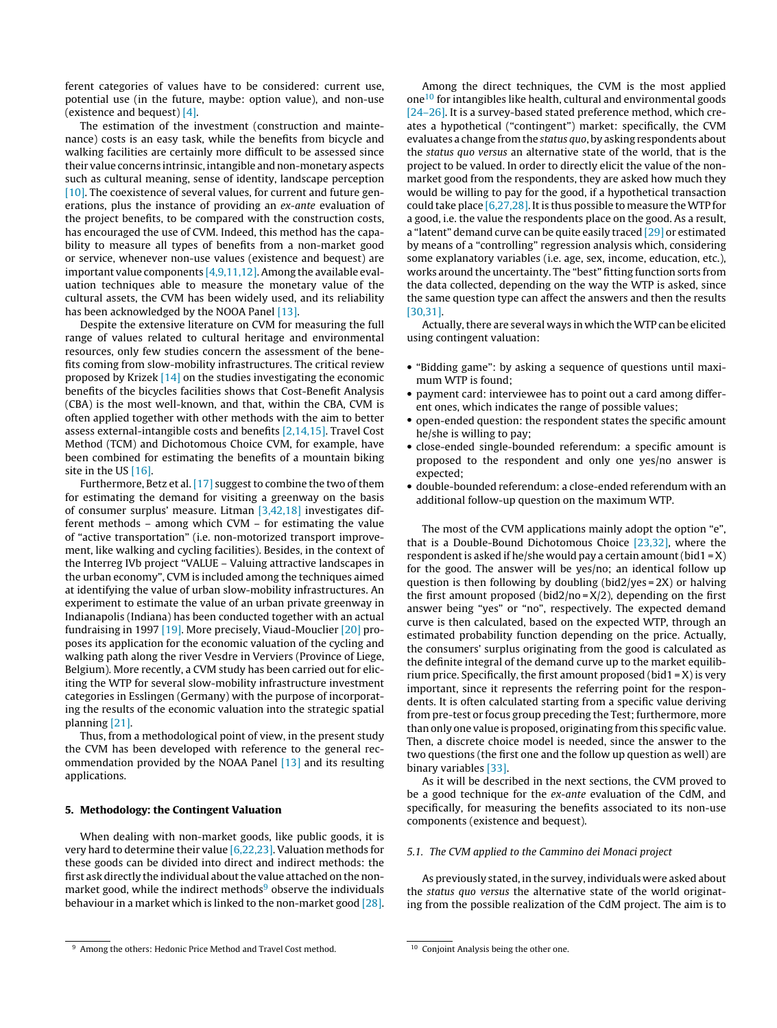<span id="page-2-0"></span>ferent categories of values have to be considered: current use, potential use (in the future, maybe: option value), and non-use (existence and bequest) [\[4\].](#page-6-0)

The estimation of the investment (construction and maintenance) costs is an easy task, while the benefits from bicycle and walking facilities are certainly more difficult to be assessed since their value concerns intrinsic, intangible and non-monetary aspects such as cultural meaning, sense of identity, landscape perception [\[10\]. T](#page-6-0)he coexistence of several values, for current and future generations, plus the instance of providing an ex-ante evaluation of the project benefits, to be compared with the construction costs, has encouraged the use of CVM. Indeed, this method has the capability to measure all types of benefits from a non-market good or service, whenever non-use values (existence and bequest) are important value components [\[4,9,11,12\]. A](#page-6-0)mong the available evaluation techniques able to measure the monetary value of the cultural assets, the CVM has been widely used, and its reliability has been acknowledged by the NOOA Panel [\[13\].](#page-6-0)

Despite the extensive literature on CVM for measuring the full range of values related to cultural heritage and environmental resources, only few studies concern the assessment of the benefits coming from slow-mobility infrastructures. The critical review proposed by Krizek [\[14\]](#page-6-0) on the studies investigating the economic benefits of the bicycles facilities shows that Cost-Benefit Analysis (CBA) is the most well-known, and that, within the CBA, CVM is often applied together with other methods with the aim to better assess external-intangible costs and benefits [\[2,14,15\]. T](#page-6-0)ravel Cost Method (TCM) and Dichotomous Choice CVM, for example, have been combined for estimating the benefits of a mountain biking site in the US [\[16\].](#page-6-0)

Furthermore, Betz et al. [\[17\]](#page-6-0) suggest to combine the two of them for estimating the demand for visiting a greenway on the basis of consumer surplus' measure. Litman [\[3,42,18\]](#page-6-0) investigates different methods – among which CVM – for estimating the value of "active transportation" (i.e. non-motorized transport improvement, like walking and cycling facilities). Besides, in the context of the Interreg IVb project "VALUE – Valuing attractive landscapes in the urban economy", CVM is included among the techniques aimed at identifying the value of urban slow-mobility infrastructures. An experiment to estimate the value of an urban private greenway in Indianapolis (Indiana) has been conducted together with an actual fundraising in 1997 [\[19\]. M](#page-6-0)ore precisely, Viaud-Mouclier [\[20\]](#page-6-0) proposes its application for the economic valuation of the cycling and walking path along the river Vesdre in Verviers (Province of Liege, Belgium). More recently, a CVM study has been carried out for eliciting the WTP for several slow-mobility infrastructure investment categories in Esslingen (Germany) with the purpose of incorporating the results of the economic valuation into the strategic spatial planning [\[21\].](#page-6-0)

Thus, from a methodological point of view, in the present study the CVM has been developed with reference to the general recommendation provided by the NOAA Panel [\[13\]](#page-6-0) and its resulting applications.

# **5. Methodology: the Contingent Valuation**

When dealing with non-market goods, like public goods, it is very hard to determine their value [\[6,22,23\]. V](#page-6-0)aluation methods for these goods can be divided into direct and indirect methods: the first ask directly the individual about the value attached on the nonmarket good, while the indirect methods $9$  observe the individuals behaviour in a market which is linked to the non-market good [\[28\].](#page-6-0)

Among the direct techniques, the CVM is the most applied one10 for intangibles like health, cultural and environmental goods [\[24–26\]. I](#page-6-0)t is a survey-based stated preference method, which creates a hypothetical ("contingent") market: specifically, the CVM evaluates a change from the status quo, by asking respondents about the status quo versus an alternative state of the world, that is the project to be valued. In order to directly elicit the value of the nonmarket good from the respondents, they are asked how much they would be willing to pay for the good, if a hypothetical transaction could take place [\[6,27,28\]. I](#page-6-0)t is thus possible to measure theWTP for a good, i.e. the value the respondents place on the good. As a result, a "latent" demand curve can be quite easily traced [\[29\]](#page-6-0) or estimated by means of a "controlling" regression analysis which, considering some explanatory variables (i.e. age, sex, income, education, etc.), works around the uncertainty. The "best" fitting function sorts from the data collected, depending on the way the WTP is asked, since the same question type can affect the answers and then the results [\[30,31\].](#page-6-0)

Actually, there are several ways in which theWTP can be elicited using contingent valuation:

- "Bidding game": by asking a sequence of questions until maximum WTP is found;
- payment card: interviewee has to point out a card among different ones, which indicates the range of possible values;
- open-ended question: the respondent states the specific amount he/she is willing to pay;
- close-ended single-bounded referendum: a specific amount is proposed to the respondent and only one yes/no answer is expected;
- double-bounded referendum: a close-ended referendum with an additional follow-up question on the maximum WTP.

The most of the CVM applications mainly adopt the option "e", that is a Double-Bound Dichotomous Choice [\[23,32\],](#page-6-0) where the respondent is asked if he/she would pay a certain amount (bid1 =  $X$ ) for the good. The answer will be yes/no; an identical follow up question is then following by doubling (bid2/yes = 2X) or halving the first amount proposed (bid2/no =  $X/2$ ), depending on the first answer being "yes" or "no", respectively. The expected demand curve is then calculated, based on the expected WTP, through an estimated probability function depending on the price. Actually, the consumers' surplus originating from the good is calculated as the definite integral of the demand curve up to the market equilibrium price. Specifically, the first amount proposed (bid1 =  $X$ ) is very important, since it represents the referring point for the respondents. It is often calculated starting from a specific value deriving from pre-test or focus group preceding the Test; furthermore, more than only one value is proposed, originating from this specific value. Then, a discrete choice model is needed, since the answer to the two questions (the first one and the follow up question as well) are binary variables [\[33\].](#page-6-0)

As it will be described in the next sections, the CVM proved to be a good technique for the ex-ante evaluation of the CdM, and specifically, for measuring the benefits associated to its non-use components (existence and bequest).

## 5.1. The CVM applied to the Cammino dei Monaci project

As previously stated, in the survey, individuals were asked about the status quo versus the alternative state of the world originating from the possible realization of the CdM project. The aim is to

Among the others: Hedonic Price Method and Travel Cost method.

<sup>10</sup> Conjoint Analysis being the other one.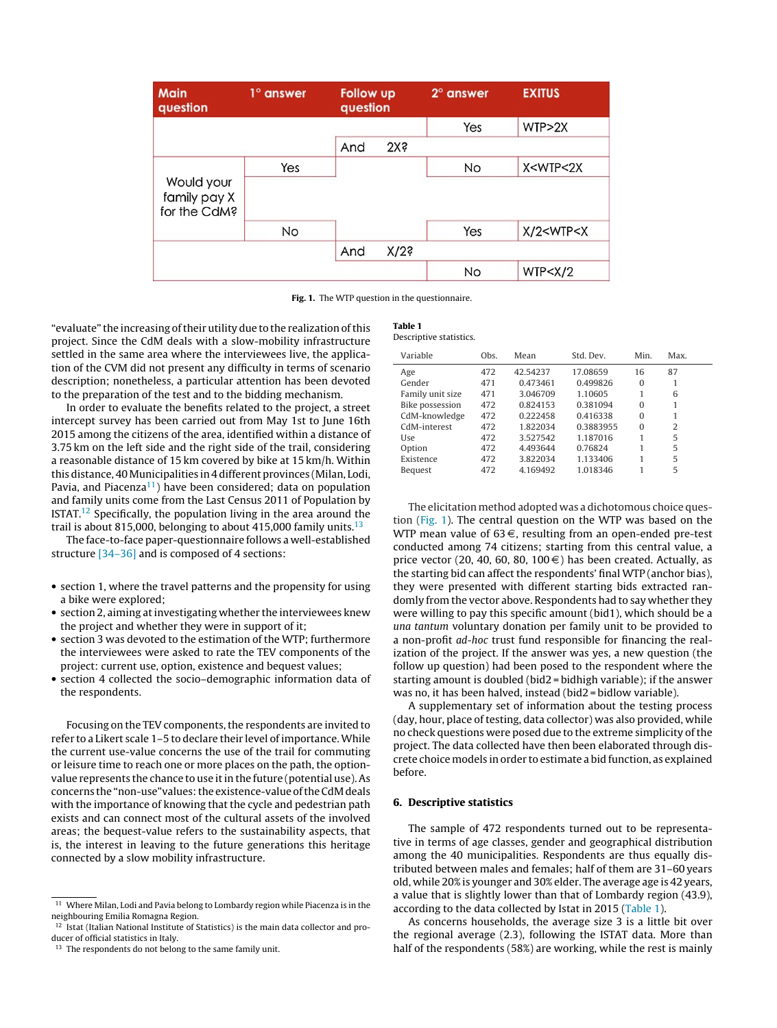| <b>Main</b><br>question                    | $1^\circ$ answer | <b>Follow up</b><br>question |                 | $2^\circ$ answer | <b>EXITUS</b>               |
|--------------------------------------------|------------------|------------------------------|-----------------|------------------|-----------------------------|
|                                            |                  |                              |                 | Yes              | WTP>2X                      |
|                                            |                  | And                          | 2X <sub>5</sub> |                  |                             |
|                                            | Yes              |                              |                 | No               | X <wtp<2x< td=""></wtp<2x<> |
| Would your<br>family pay X<br>for the CdM? |                  |                              |                 |                  |                             |
|                                            | No               |                              |                 | Yes              | X/2 < WTP < X               |
|                                            |                  | And                          | $X/2$ s         |                  |                             |
|                                            |                  |                              |                 | No               | WTP < X/2                   |

**Fig. 1.** The WTP question in the questionnaire.

**Table 1**

Descriptive statistics.

"evaluate" the increasing of their utility due to the realization of this project. Since the CdM deals with a slow-mobility infrastructure settled in the same area where the interviewees live, the application of the CVM did not present any difficulty in terms of scenario description; nonetheless, a particular attention has been devoted to the preparation of the test and to the bidding mechanism.

In order to evaluate the benefits related to the project, a street intercept survey has been carried out from May 1st to June 16th 2015 among the citizens of the area, identified within a distance of 3.75 km on the left side and the right side of the trail, considering a reasonable distance of 15 km covered by bike at 15 km/h. Within this distance, 40Municipalities in 4 different provinces (Milan, Lodi, Pavia, and Piacenza<sup>11</sup>) have been considered; data on population and family units come from the Last Census 2011 of Population by ISTAT.<sup>12</sup> Specifically, the population living in the area around the trail is about 815,000, belonging to about 415,000 family units.<sup>13</sup>

The face-to-face paper-questionnaire follows a well-established structure [\[34–36\]](#page-6-0) and is composed of 4 sections:

- section 1, where the travel patterns and the propensity for using a bike were explored;
- section 2, aiming at investigating whether the interviewees knew the project and whether they were in support of it;
- section 3 was devoted to the estimation of the WTP; furthermore the interviewees were asked to rate the TEV components of the project: current use, option, existence and bequest values;
- section 4 collected the socio–demographic information data of the respondents.

Focusing on the TEV components, the respondents are invited to refer to a Likert scale 1–5 to declare their level of importance. While the current use-value concerns the use of the trail for commuting or leisure time to reach one or more places on the path, the optionvalue represents the chance to use it in the future (potential use). As concerns the "non-use"values: the existence-value of the CdM deals with the importance of knowing that the cycle and pedestrian path exists and can connect most of the cultural assets of the involved areas; the bequest-value refers to the sustainability aspects, that is, the interest in leaving to the future generations this heritage connected by a slow mobility infrastructure.

| Variable               | Obs. | Mean     | Std. Dev. | Min.         | Max. |
|------------------------|------|----------|-----------|--------------|------|
| Age                    | 472  | 42.54237 | 17.08659  | 16           | 87   |
| Gender                 | 471  | 0.473461 | 0.499826  | $\mathbf{0}$ |      |
| Family unit size       | 471  | 3.046709 | 1.10605   | 1            | 6    |
| <b>Bike possession</b> | 472  | 0.824153 | 0.381094  | $\Omega$     | 1    |
| CdM-knowledge          | 472  | 0.222458 | 0.416338  | $\Omega$     | 1    |
| CdM-interest           | 472  | 1.822034 | 0.3883955 | $\Omega$     | 2    |
| Use                    | 472  | 3.527542 | 1.187016  | 1            | 5    |
| Option                 | 472  | 4.493644 | 0.76824   | 1            | 5    |
| Existence              | 472  | 3.822034 | 1.133406  | 1            | 5    |
| Bequest                | 472  | 4.169492 | 1.018346  |              | 5    |

The elicitation method adopted was a dichotomous choice question (Fig. 1). The central question on the WTP was based on the WTP mean value of  $63 \in$ , resulting from an open-ended pre-test conducted among 74 citizens; starting from this central value, a price vector (20, 40, 60, 80, 100 $\in$ ) has been created. Actually, as the starting bid can affect the respondents' final WTP (anchor bias), they were presented with different starting bids extracted randomly from the vector above. Respondents had to say whether they were willing to pay this specific amount (bid1), which should be a una tantum voluntary donation per family unit to be provided to a non-profit ad-hoc trust fund responsible for financing the realization of the project. If the answer was yes, a new question (the follow up question) had been posed to the respondent where the starting amount is doubled (bid2 = bidhigh variable); if the answer was no, it has been halved, instead (bid2 = bidlow variable).

A supplementary set of information about the testing process (day, hour, place of testing, data collector) was also provided, while no check questions were posed due to the extreme simplicity of the project. The data collected have then been elaborated through discrete choice models in order to estimate a bid function, as explained before.

# **6. Descriptive statistics**

The sample of 472 respondents turned out to be representative in terms of age classes, gender and geographical distribution among the 40 municipalities. Respondents are thus equally distributed between males and females; half of them are 31–60 years old, while 20% is younger and 30% elder. The average age is 42 years, a value that is slightly lower than that of Lombardy region (43.9), according to the data collected by Istat in 2015 (Table 1).

As concerns households, the average size 3 is a little bit over the regional average (2.3), following the ISTAT data. More than half of the respondents (58%) are working, while the rest is mainly

<sup>&</sup>lt;sup>11</sup> Where Milan, Lodi and Pavia belong to Lombardy region while Piacenza is in the neighbouring Emilia Romagna Region.

<sup>&</sup>lt;sup>12</sup> Istat (Italian National Institute of Statistics) is the main data collector and producer of official statistics in Italy.

<sup>&</sup>lt;sup>13</sup> The respondents do not belong to the same family unit.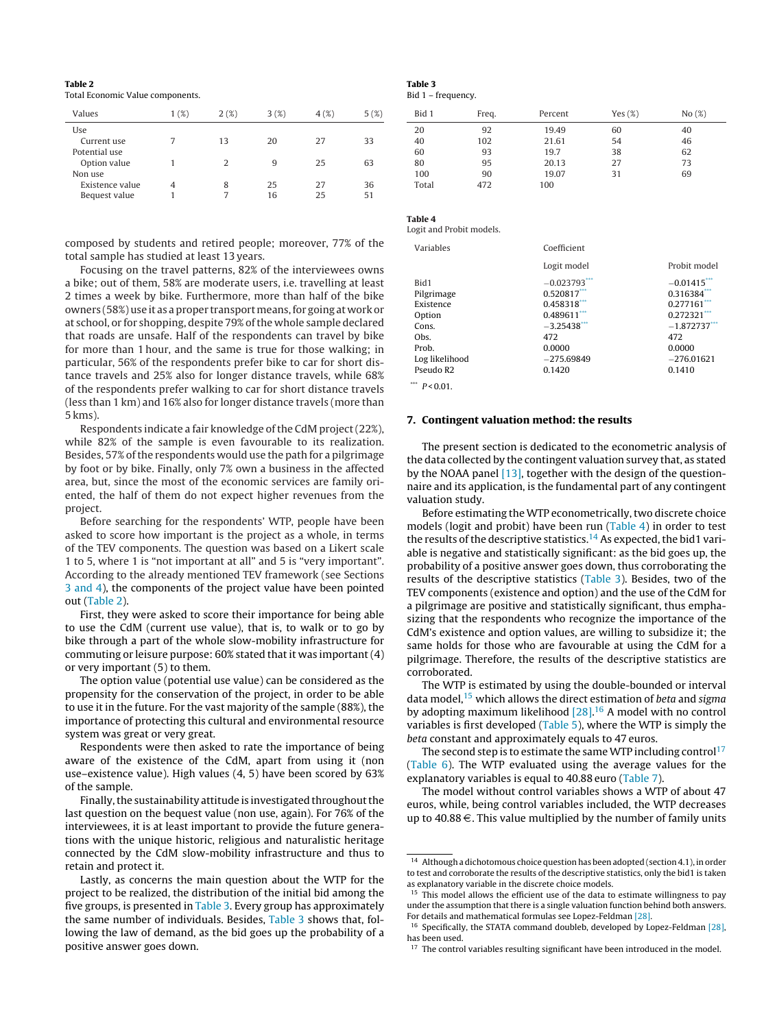## **Table 2**

Total Economic Value components.

| Values          | 1(%) | 2(%)          | 3(%) | 4(%) | 5(%) |
|-----------------|------|---------------|------|------|------|
| Use             |      |               |      |      |      |
| Current use     |      | 13            | 20   | 27   | 33   |
| Potential use   |      |               |      |      |      |
| Option value    |      | $\mathcal{L}$ | q    | 25   | 63   |
| Non use         |      |               |      |      |      |
| Existence value |      | 8             | 25   | 27   | 36   |
| Bequest value   |      |               | 16   | 25   | 51   |

composed by students and retired people; moreover, 77% of the total sample has studied at least 13 years.

Focusing on the travel patterns, 82% of the interviewees owns a bike; out of them, 58% are moderate users, i.e. travelling at least 2 times a week by bike. Furthermore, more than half of the bike owners (58%) use it as a proper transportmeans, for going at work or at school, or for shopping, despite 79% of the whole sample declared that roads are unsafe. Half of the respondents can travel by bike for more than 1 hour, and the same is true for those walking; in particular, 56% of the respondents prefer bike to car for short distance travels and 25% also for longer distance travels, while 68% of the respondents prefer walking to car for short distance travels (less than 1 km) and 16% also for longer distance travels (more than 5 kms).

Respondents indicate a fair knowledge of the CdM project (22%), while 82% of the sample is even favourable to its realization. Besides, 57% of the respondents would use the path for a pilgrimage by foot or by bike. Finally, only 7% own a business in the affected area, but, since the most of the economic services are family oriented, the half of them do not expect higher revenues from the project.

Before searching for the respondents' WTP, people have been asked to score how important is the project as a whole, in terms of the TEV components. The question was based on a Likert scale 1 to 5, where 1 is "not important at all" and 5 is "very important". According to the already mentioned TEV framework (see Sections [3 and 4\),](#page-1-0) the components of the project value have been pointed out (Table 2).

First, they were asked to score their importance for being able to use the CdM (current use value), that is, to walk or to go by bike through a part of the whole slow-mobility infrastructure for commuting or leisure purpose: 60% stated that it was important (4) or very important (5) to them.

The option value (potential use value) can be considered as the propensity for the conservation of the project, in order to be able to use it in the future. For the vast majority of the sample (88%), the importance of protecting this cultural and environmental resource system was great or very great.

Respondents were then asked to rate the importance of being aware of the existence of the CdM, apart from using it (non use–existence value). High values (4, 5) have been scored by 63% of the sample.

Finally, the sustainability attitude is investigated throughout the last question on the bequest value (non use, again). For 76% of the interviewees, it is at least important to provide the future generations with the unique historic, religious and naturalistic heritage connected by the CdM slow-mobility infrastructure and thus to retain and protect it.

Lastly, as concerns the main question about the WTP for the project to be realized, the distribution of the initial bid among the five groups, is presented in Table 3. Every group has approximately the same number of individuals. Besides, Table 3 shows that, following the law of demand, as the bid goes up the probability of a positive answer goes down.

# **Table 3**

Bid 1 – frequency.

| Bid 1 | Freq. | Percent | Yes $(\%)$ | No(%) |
|-------|-------|---------|------------|-------|
| 20    | 92    | 19.49   | 60         | 40    |
| 40    | 102   | 21.61   | 54         | 46    |
| 60    | 93    | 19.7    | 38         | 62    |
| 80    | 95    | 20.13   | 27         | 73    |
| 100   | 90    | 19.07   | 31         | 69    |
| Total | 472   | 100     |            |       |

# **Table 4**

Logit and Probit models.

| Variables      | Coefficient     |                |
|----------------|-----------------|----------------|
|                | Logit model     | Probit model   |
| Bid1           | $-0.023793$ *** | $-0.01415$ *** |
| Pilgrimage     | $0.520817$ ***  | 0.316384       |
| Existence      | 0.458318***     | $0.277161$ *** |
| Option         | 0.489611***     | $0.272321$ *** |
| Cons.          | $-3.25438***$   | $-1.872737***$ |
| Obs.           | 472             | 472            |
| Prob.          | 0.0000          | 0.0000         |
| Log likelihood | $-275.69849$    | $-276.01621$   |
| Pseudo R2      | 0.1420          | 0.1410         |
|                |                 |                |

\*\*\*  $P < 0.01$ .

#### **7. Contingent valuation method: the results**

The present section is dedicated to the econometric analysis of the data collected by the contingent valuation survey that, as stated by the NOAA panel [\[13\], t](#page-6-0)ogether with the design of the questionnaire and its application, is the fundamental part of any contingent valuation study.

Before estimating the WTP econometrically, two discrete choice models (logit and probit) have been run (Table 4) in order to test the results of the descriptive statistics.<sup>14</sup> As expected, the bid1 variable is negative and statistically significant: as the bid goes up, the probability of a positive answer goes down, thus corroborating the results of the descriptive statistics (Table 3). Besides, two of the TEV components (existence and option) and the use of the CdM for a pilgrimage are positive and statistically significant, thus emphasizing that the respondents who recognize the importance of the CdM's existence and option values, are willing to subsidize it; the same holds for those who are favourable at using the CdM for a pilgrimage. Therefore, the results of the descriptive statistics are corroborated.

The WTP is estimated by using the double-bounded or interval data model,  $15$  which allows the direct estimation of beta and sigma by adopting maximum likelihood [\[28\].](#page-6-0)<sup>16</sup> A model with no control variables is first developed [\(Table 5\),](#page-5-0) where the WTP is simply the beta constant and approximately equals to 47 euros.

The second step is to estimate the same WTP including control<sup>17</sup> [\(Table 6\).](#page-5-0) The WTP evaluated using the average values for the explanatory variables is equal to 40.88 euro ([Table 7\).](#page-5-0)

The model without control variables shows a WTP of about 47 euros, while, being control variables included, the WTP decreases up to  $40.88 \in$ . This value multiplied by the number of family units

 $^{14}\,$  Although a dichotomous choice question has been adopted (section 4.1), in order to test and corroborate the results of the descriptive statistics, only the bid1 is taken as explanatory variable in the discrete choice models.

<sup>&</sup>lt;sup>15</sup> This model allows the efficient use of the data to estimate willingness to pay under the assumption that there is a single valuation function behind both answers. For details and mathematical formulas see Lopez-Feldman [\[28\].](#page-6-0)

<sup>&</sup>lt;sup>16</sup> Specifically, the STATA command doubleb, developed by Lopez-Feldman [\[28\],](#page-6-0) has been used.

<sup>&</sup>lt;sup>17</sup> The control variables resulting significant have been introduced in the model.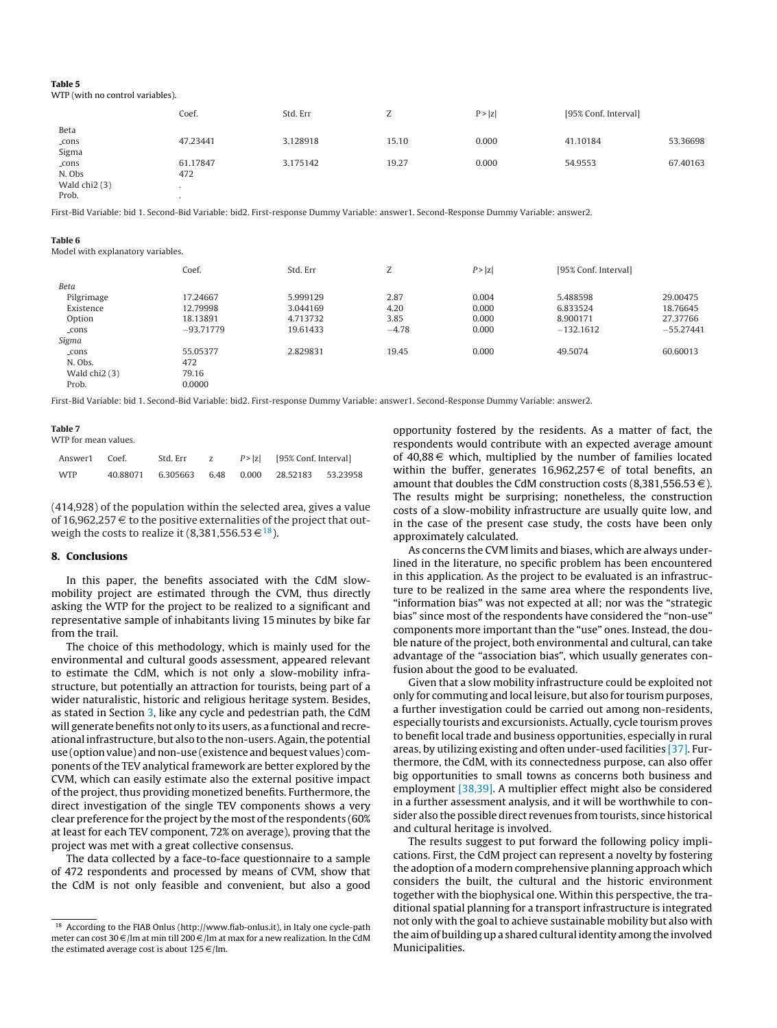#### <span id="page-5-0"></span>**Table 5**

# WTP (with no control variables).

|                | Coef.    | Std. Err | -<br>L | P >  z | [95% Conf. Interval] |          |
|----------------|----------|----------|--------|--------|----------------------|----------|
| Beta           |          |          |        |        |                      |          |
| _cons          | 47.23441 | 3.128918 | 15.10  | 0.000  | 41.10184             | 53.36698 |
| Sigma          |          |          |        |        |                      |          |
| _cons          | 61.17847 | 3.175142 | 19.27  | 0.000  | 54.9553              | 67.40163 |
| N. Obs         | 472      |          |        |        |                      |          |
| Wald $chi2(3)$ |          |          |        |        |                      |          |
| Prob.          |          |          |        |        |                      |          |

First-Bid Variable: bid 1. Second-Bid Variable: bid2. First-response Dummy Variable: answer1. Second-Response Dummy Variable: answer2.

#### **Table 6**

Model with explanatory variables.

|                | Coef.       | Std. Err | Z       | P >  z | [95% Conf. Interval] |             |
|----------------|-------------|----------|---------|--------|----------------------|-------------|
| Beta           |             |          |         |        |                      |             |
| Pilgrimage     | 17.24667    | 5.999129 | 2.87    | 0.004  | 5.488598             | 29.00475    |
| Existence      | 12.79998    | 3.044169 | 4.20    | 0.000  | 6.833524             | 18.76645    |
| Option         | 18.13891    | 4.713732 | 3.85    | 0.000  | 8.900171             | 27.37766    |
| _cons          | $-93.71779$ | 19.61433 | $-4.78$ | 0.000  | $-132.1612$          | $-55.27441$ |
| Sigma          |             |          |         |        |                      |             |
| $_{\rm cons}$  | 55.05377    | 2.829831 | 19.45   | 0.000  | 49.5074              | 60.60013    |
| N. Obs.        | 472         |          |         |        |                      |             |
| Wald $chi2(3)$ | 79.16       |          |         |        |                      |             |
| Prob.          | 0.0000      |          |         |        |                      |             |

First-Bid Variable: bid 1. Second-Bid Variable: bid2. First-response Dummy Variable: answer1. Second-Response Dummy Variable: answer2.

#### **Table 7**

WTP for mean values.

| Answer1 Coef. |          | Std. Err | 7. | $P >  z $ [95% Conf. Interval]        |  |
|---------------|----------|----------|----|---------------------------------------|--|
| <b>WTP</b>    | 40.88071 |          |    | 6.305663 6.48 0.000 28.52183 53.23958 |  |

(414,928) of the population within the selected area, gives a value of 16,962,257  $\in$  to the positive externalities of the project that outweigh the costs to realize it (8,381,556.53 $\in$ <sup>18</sup>).

### **8. Conclusions**

In this paper, the benefits associated with the CdM slowmobility project are estimated through the CVM, thus directly asking the WTP for the project to be realized to a significant and representative sample of inhabitants living 15 minutes by bike far from the trail.

The choice of this methodology, which is mainly used for the environmental and cultural goods assessment, appeared relevant to estimate the CdM, which is not only a slow-mobility infrastructure, but potentially an attraction for tourists, being part of a wider naturalistic, historic and religious heritage system. Besides, as stated in Section [3, l](#page-1-0)ike any cycle and pedestrian path, the CdM will generate benefits not only to its users, as a functional and recreational infrastructure, but also to the non-users. Again, the potential use (option value) and non-use (existence and bequest values) components of the TEV analytical framework are better explored by the CVM, which can easily estimate also the external positive impact of the project, thus providing monetized benefits. Furthermore, the direct investigation of the single TEV components shows a very clear preference for the project by the most of the respondents (60% at least for each TEV component, 72% on average), proving that the project was met with a great collective consensus.

The data collected by a face-to-face questionnaire to a sample of 472 respondents and processed by means of CVM, show that the CdM is not only feasible and convenient, but also a good

opportunity fostered by the residents. As a matter of fact, the respondents would contribute with an expected average amount of  $40,88 \in \mathbb{R}$  which, multiplied by the number of families located within the buffer, generates  $16,962,257 \in \mathcal{O}$  of total benefits, an amount that doubles the CdM construction costs (8,381,556.53 $\in$ ). The results might be surprising; nonetheless, the construction costs of a slow-mobility infrastructure are usually quite low, and in the case of the present case study, the costs have been only approximately calculated.

As concerns the CVM limits and biases, which are always underlined in the literature, no specific problem has been encountered in this application. As the project to be evaluated is an infrastructure to be realized in the same area where the respondents live, "information bias" was not expected at all; nor was the "strategic bias" since most of the respondents have considered the "non-use" components more important than the "use" ones. Instead, the double nature of the project, both environmental and cultural, can take advantage of the "association bias", which usually generates confusion about the good to be evaluated.

Given that a slow mobility infrastructure could be exploited not only for commuting and local leisure, but also for tourism purposes, a further investigation could be carried out among non-residents, especially tourists and excursionists. Actually, cycle tourism proves to benefit local trade and business opportunities, especially in rural areas, by utilizing existing and often under-used facilities [\[37\]. F](#page-6-0)urthermore, the CdM, with its connectedness purpose, can also offer big opportunities to small towns as concerns both business and employment [\[38,39\]. A](#page-6-0) multiplier effect might also be considered in a further assessment analysis, and it will be worthwhile to consider also the possible direct revenues from tourists, since historical and cultural heritage is involved.

The results suggest to put forward the following policy implications. First, the CdM project can represent a novelty by fostering the adoption of a modern comprehensive planning approach which considers the built, the cultural and the historic environment together with the biophysical one. Within this perspective, the traditional spatial planning for a transport infrastructure is integrated not only with the goal to achieve sustainable mobility but also with the aim of building up a shared cultural identity among the involved Municipalities.

<sup>18</sup> According to the FIAB Onlus (http://www.fiab-onlus.it), in Italy one cycle-path meter can cost 30  $\epsilon$ /lm at min till 200  $\epsilon$ /lm at max for a new realization. In the CdM the estimated average cost is about 125  $\in$  /lm.